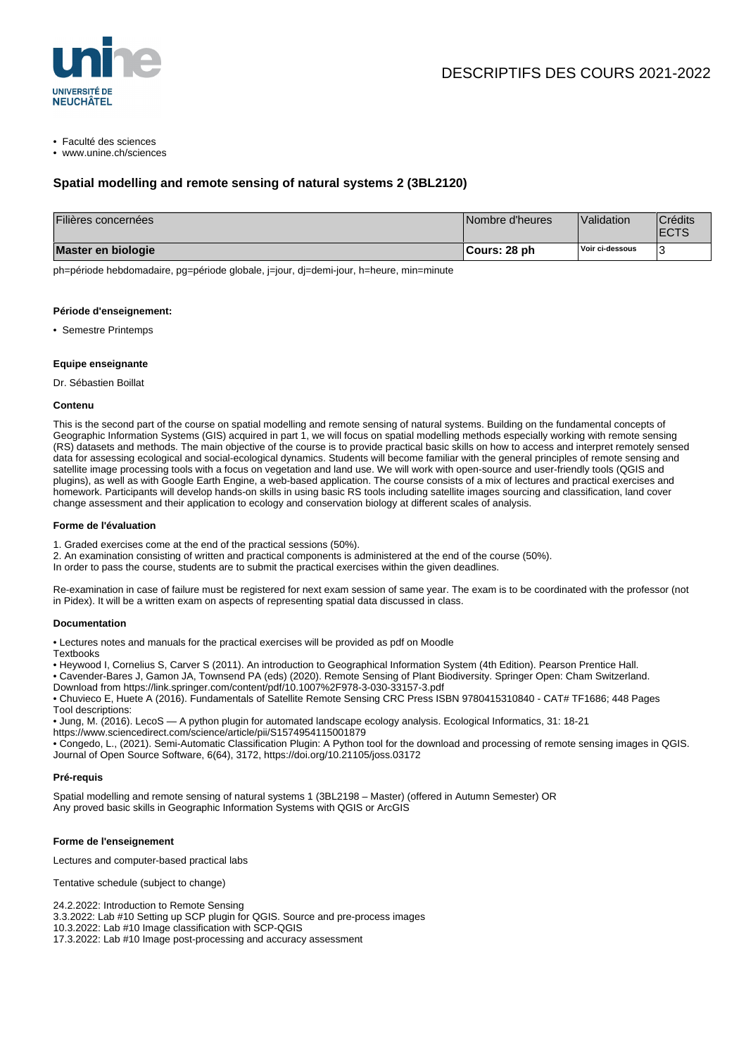

• Faculté des sciences

• www.unine.ch/sciences

# **Spatial modelling and remote sensing of natural systems 2 (3BL2120)**

| Filières concernées | Nombre d'heures | Validation      | <b>Crédits</b><br><b>IECTS</b> |
|---------------------|-----------------|-----------------|--------------------------------|
| Master en biologie  | ¶Cours: 28 ph   | Voir ci-dessous |                                |

ph=période hebdomadaire, pg=période globale, j=jour, dj=demi-jour, h=heure, min=minute

#### **Période d'enseignement:**

• Semestre Printemps

#### **Equipe enseignante**

Dr. Sébastien Boillat

#### **Contenu**

This is the second part of the course on spatial modelling and remote sensing of natural systems. Building on the fundamental concepts of Geographic Information Systems (GIS) acquired in part 1, we will focus on spatial modelling methods especially working with remote sensing (RS) datasets and methods. The main objective of the course is to provide practical basic skills on how to access and interpret remotely sensed data for assessing ecological and social-ecological dynamics. Students will become familiar with the general principles of remote sensing and satellite image processing tools with a focus on vegetation and land use. We will work with open-source and user-friendly tools (QGIS and plugins), as well as with Google Earth Engine, a web-based application. The course consists of a mix of lectures and practical exercises and homework. Participants will develop hands-on skills in using basic RS tools including satellite images sourcing and classification, land cover change assessment and their application to ecology and conservation biology at different scales of analysis.

#### **Forme de l'évaluation**

- 1. Graded exercises come at the end of the practical sessions (50%).
- 2. An examination consisting of written and practical components is administered at the end of the course (50%).
- In order to pass the course, students are to submit the practical exercises within the given deadlines.

Re-examination in case of failure must be registered for next exam session of same year. The exam is to be coordinated with the professor (not in Pidex). It will be a written exam on aspects of representing spatial data discussed in class.

#### **Documentation**

• Lectures notes and manuals for the practical exercises will be provided as pdf on Moodle

- **Textbooks**
- Heywood I, Cornelius S, Carver S (2011). An introduction to Geographical Information System (4th Edition). Pearson Prentice Hall.
- Cavender-Bares J, Gamon JA, Townsend PA (eds) (2020). Remote Sensing of Plant Biodiversity. Springer Open: Cham Switzerland.
- Download from https://link.springer.com/content/pdf/10.1007%2F978-3-030-33157-3.pdf • Chuvieco E, Huete A (2016). Fundamentals of Satellite Remote Sensing CRC Press ISBN 9780415310840 - CAT# TF1686; 448 Pages Tool descriptions:
- Jung, M. (2016). LecoS A python plugin for automated landscape ecology analysis. Ecological Informatics, 31: 18-21
- https://www.sciencedirect.com/science/article/pii/S1574954115001879
- Congedo, L., (2021). Semi-Automatic Classification Plugin: A Python tool for the download and processing of remote sensing images in QGIS. Journal of Open Source Software, 6(64), 3172, https://doi.org/10.21105/joss.03172

#### **Pré-requis**

Spatial modelling and remote sensing of natural systems 1 (3BL2198 – Master) (offered in Autumn Semester) OR Any proved basic skills in Geographic Information Systems with QGIS or ArcGIS

#### **Forme de l'enseignement**

Lectures and computer-based practical labs

Tentative schedule (subject to change)

24.2.2022: Introduction to Remote Sensing

3.3.2022: Lab #10 Setting up SCP plugin for QGIS. Source and pre-process images

10.3.2022: Lab #10 Image classification with SCP-QGIS

17.3.2022: Lab #10 Image post-processing and accuracy assessment